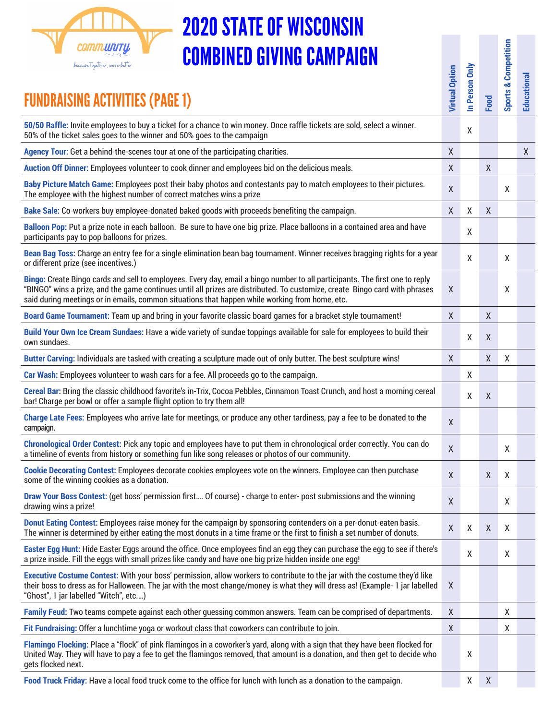

## 2020 STATE OF WISCONSIN COMBINED GIVING CAMPAIGN

| <b>COMBINED GIVING CAMPAIGN</b><br>because together, we're better<br><b>FUNDRAISING ACTIVITIES (PAGE 1)</b>                                                                                                                                                                                                                                                   | <b>Virtual Option</b> | In Person Only | Food             | <b>Sports &amp; Competition</b> | Educational |
|---------------------------------------------------------------------------------------------------------------------------------------------------------------------------------------------------------------------------------------------------------------------------------------------------------------------------------------------------------------|-----------------------|----------------|------------------|---------------------------------|-------------|
| 50/50 Raffle: Invite employees to buy a ticket for a chance to win money. Once raffle tickets are sold, select a winner.                                                                                                                                                                                                                                      |                       | X              |                  |                                 |             |
| 50% of the ticket sales goes to the winner and 50% goes to the campaign                                                                                                                                                                                                                                                                                       |                       |                |                  |                                 |             |
| Agency Tour: Get a behind-the-scenes tour at one of the participating charities.                                                                                                                                                                                                                                                                              | Χ                     |                |                  |                                 | X           |
| Auction Off Dinner: Employees volunteer to cook dinner and employees bid on the delicious meals.<br>Baby Picture Match Game: Employees post their baby photos and contestants pay to match employees to their pictures.<br>The employee with the highest number of correct matches wins a prize                                                               | X<br>X                |                | X                | X                               |             |
| Bake Sale: Co-workers buy employee-donated baked goods with proceeds benefiting the campaign.                                                                                                                                                                                                                                                                 | $\mathsf{X}$          | X              | $\boldsymbol{X}$ |                                 |             |
| Balloon Pop: Put a prize note in each balloon. Be sure to have one big prize. Place balloons in a contained area and have<br>participants pay to pop balloons for prizes.                                                                                                                                                                                     |                       | X              |                  |                                 |             |
| Bean Bag Toss: Charge an entry fee for a single elimination bean bag tournament. Winner receives bragging rights for a year<br>or different prize (see incentives.)                                                                                                                                                                                           |                       | X              |                  | X                               |             |
| Bingo: Create Bingo cards and sell to employees. Every day, email a bingo number to all participants. The first one to reply<br>"BINGO" wins a prize, and the game continues until all prizes are distributed. To customize, create Bingo card with phrases<br>said during meetings or in emails, common situations that happen while working from home, etc. | X                     |                |                  | X                               |             |
| Board Game Tournament: Team up and bring in your favorite classic board games for a bracket style tournament!                                                                                                                                                                                                                                                 | $\mathsf{X}$          |                | X                |                                 |             |
| Build Your Own Ice Cream Sundaes: Have a wide variety of sundae toppings available for sale for employees to build their<br>own sundaes.                                                                                                                                                                                                                      |                       | X              | X                |                                 |             |
| Butter Carving: Individuals are tasked with creating a sculpture made out of only butter. The best sculpture wins!                                                                                                                                                                                                                                            | $\mathsf{X}$          |                | $\mathsf{X}$     | X                               |             |
| Car Wash: Employees volunteer to wash cars for a fee. All proceeds go to the campaign.                                                                                                                                                                                                                                                                        |                       | X              |                  |                                 |             |
| Cereal Bar: Bring the classic childhood favorite's in-Trix, Cocoa Pebbles, Cinnamon Toast Crunch, and host a morning cereal<br>bar! Charge per bowl or offer a sample flight option to try them all!                                                                                                                                                          |                       | X              | $\mathsf{X}$     |                                 |             |
| Charge Late Fees: Employees who arrive late for meetings, or produce any other tardiness, pay a fee to be donated to the<br>campaign.                                                                                                                                                                                                                         | $\mathsf{X}$          |                |                  |                                 |             |
| Chronological Order Contest: Pick any topic and employees have to put them in chronological order correctly. You can do<br>a timeline of events from history or something fun like song releases or photos of our community.                                                                                                                                  | $\pmb{\mathsf{X}}$    |                |                  | x                               |             |
| Cookie Decorating Contest: Employees decorate cookies employees vote on the winners. Employee can then purchase<br>some of the winning cookies as a donation.                                                                                                                                                                                                 | $\mathsf X$           |                | $\boldsymbol{X}$ | X                               |             |
| Draw Your Boss Contest: (get boss' permission first Of course) - charge to enter-post submissions and the winning<br>drawing wins a prize!                                                                                                                                                                                                                    | $\pmb{\mathsf{X}}$    |                |                  | X                               |             |
| Donut Eating Contest: Employees raise money for the campaign by sponsoring contenders on a per-donut-eaten basis.<br>The winner is determined by either eating the most donuts in a time frame or the first to finish a set number of donuts.                                                                                                                 | X                     | X              | $\boldsymbol{X}$ | X                               |             |
| Easter Egg Hunt: Hide Easter Eggs around the office. Once employees find an egg they can purchase the egg to see if there's<br>a prize inside. Fill the eggs with small prizes like candy and have one big prize hidden inside one egg!                                                                                                                       |                       | X              |                  | X                               |             |
| Executive Costume Contest: With your boss' permission, allow workers to contribute to the jar with the costume they'd like<br>their boss to dress as for Halloween. The jar with the most change/money is what they will dress as! (Example-1 jar labelled<br>"Ghost", 1 jar labelled "Witch", etc)                                                           | X                     |                |                  |                                 |             |
| Family Feud: Two teams compete against each other guessing common answers. Team can be comprised of departments.                                                                                                                                                                                                                                              | X                     |                |                  | x                               |             |
| Fit Fundraising: Offer a lunchtime yoga or workout class that coworkers can contribute to join.                                                                                                                                                                                                                                                               | X                     |                |                  | x                               |             |
| Flamingo Flocking: Place a "flock" of pink flamingos in a coworker's yard, along with a sign that they have been flocked for<br>United Way. They will have to pay a fee to get the flamingos removed, that amount is a donation, and then get to decide who<br>gets flocked next.                                                                             |                       | X              |                  |                                 |             |
|                                                                                                                                                                                                                                                                                                                                                               |                       |                |                  |                                 |             |

**Food Truck Friday:** Have a local food truck come to the office for lunch with lunch as a donation to the campaign. X X X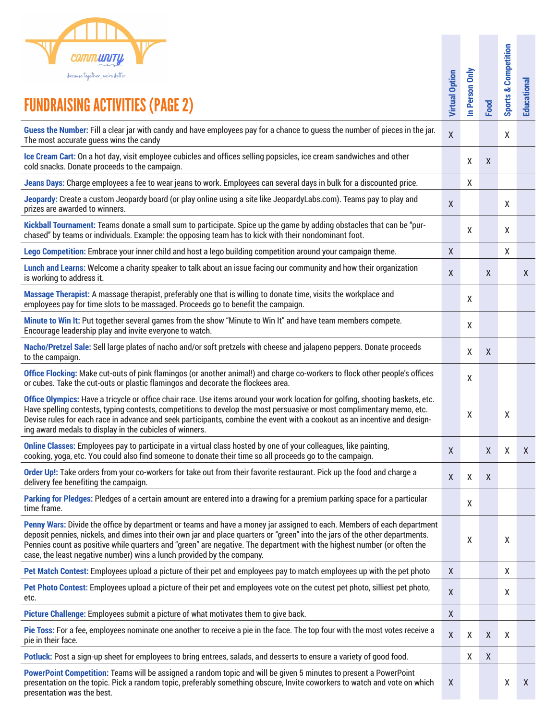|  | <b>COMMUNTY</b>                |  |
|--|--------------------------------|--|
|  | because together, we're better |  |

| because together, we're better                                                                                                                                                                                                                                                                                                                                                                                                                              | <b>Virtual Option</b> | In Person Only |      | <b>Sports &amp; Competition</b> |                    |
|-------------------------------------------------------------------------------------------------------------------------------------------------------------------------------------------------------------------------------------------------------------------------------------------------------------------------------------------------------------------------------------------------------------------------------------------------------------|-----------------------|----------------|------|---------------------------------|--------------------|
| <b>FUNDRAISING ACTIVITIES (PAGE 2)</b>                                                                                                                                                                                                                                                                                                                                                                                                                      |                       |                | Food |                                 | Educational        |
| Guess the Number: Fill a clear jar with candy and have employees pay for a chance to guess the number of pieces in the jar.<br>The most accurate guess wins the candy                                                                                                                                                                                                                                                                                       | $\boldsymbol{X}$      |                |      | χ                               |                    |
| Ice Cream Cart: On a hot day, visit employee cubicles and offices selling popsicles, ice cream sandwiches and other<br>cold snacks. Donate proceeds to the campaign.                                                                                                                                                                                                                                                                                        |                       | X              | X    |                                 |                    |
| Jeans Days: Charge employees a fee to wear jeans to work. Employees can several days in bulk for a discounted price.                                                                                                                                                                                                                                                                                                                                        |                       | X              |      |                                 |                    |
| Jeopardy: Create a custom Jeopardy board (or play online using a site like JeopardyLabs.com). Teams pay to play and<br>prizes are awarded to winners.                                                                                                                                                                                                                                                                                                       | $\boldsymbol{X}$      |                |      | X                               |                    |
| Kickball Tournament: Teams donate a small sum to participate. Spice up the game by adding obstacles that can be "pur-<br>chased" by teams or individuals. Example: the opposing team has to kick with their nondominant foot.                                                                                                                                                                                                                               |                       | X              |      | Χ                               |                    |
| Lego Competition: Embrace your inner child and host a lego building competition around your campaign theme.                                                                                                                                                                                                                                                                                                                                                 | X                     |                |      | Χ                               |                    |
| Lunch and Learns: Welcome a charity speaker to talk about an issue facing our community and how their organization<br>is working to address it.                                                                                                                                                                                                                                                                                                             | $\pmb{\chi}$          |                | χ    |                                 | $\mathsf X$        |
| Massage Therapist: A massage therapist, preferably one that is willing to donate time, visits the workplace and<br>employees pay for time slots to be massaged. Proceeds go to benefit the campaign.                                                                                                                                                                                                                                                        |                       | X              |      |                                 |                    |
| Minute to Win It: Put together several games from the show "Minute to Win It" and have team members compete.<br>Encourage leadership play and invite everyone to watch.                                                                                                                                                                                                                                                                                     |                       | X              |      |                                 |                    |
| Nacho/Pretzel Sale: Sell large plates of nacho and/or soft pretzels with cheese and jalapeno peppers. Donate proceeds<br>to the campaign.                                                                                                                                                                                                                                                                                                                   |                       | X              | X    |                                 |                    |
| Office Flocking: Make cut-outs of pink flamingos (or another animal!) and charge co-workers to flock other people's offices<br>or cubes. Take the cut-outs or plastic flamingos and decorate the flockees area.                                                                                                                                                                                                                                             |                       | X              |      |                                 |                    |
| Office Olympics: Have a tricycle or office chair race. Use items around your work location for golfing, shooting baskets, etc.<br>Have spelling contests, typing contests, competitions to develop the most persuasive or most complimentary memo, etc.<br>Devise rules for each race in advance and seek participants, combine the event with a cookout as an incentive and design-<br>ing award medals to display in the cubicles of winners.             |                       | X              |      | χ                               |                    |
| Online Classes: Employees pay to participate in a virtual class hosted by one of your colleagues, like painting,<br>cooking, yoga, etc. You could also find someone to donate their time so all proceeds go to the campaign.                                                                                                                                                                                                                                | X                     |                | X    | X                               | X                  |
| Order Up!: Take orders from your co-workers for take out from their favorite restaurant. Pick up the food and charge a<br>delivery fee benefiting the campaign.                                                                                                                                                                                                                                                                                             | $\boldsymbol{X}$      | X              | X    |                                 |                    |
| Parking for Pledges: Pledges of a certain amount are entered into a drawing for a premium parking space for a particular<br>time frame.                                                                                                                                                                                                                                                                                                                     |                       | X              |      |                                 |                    |
| Penny Wars: Divide the office by department or teams and have a money jar assigned to each. Members of each department<br>deposit pennies, nickels, and dimes into their own jar and place quarters or "green" into the jars of the other departments.<br>Pennies count as positive while quarters and "green" are negative. The department with the highest number (or often the<br>case, the least negative number) wins a lunch provided by the company. |                       | X              |      | X                               |                    |
| Pet Match Contest: Employees upload a picture of their pet and employees pay to match employees up with the pet photo                                                                                                                                                                                                                                                                                                                                       | $\mathsf{X}$          |                |      | X                               |                    |
| Pet Photo Contest: Employees upload a picture of their pet and employees vote on the cutest pet photo, silliest pet photo,<br>etc.                                                                                                                                                                                                                                                                                                                          | $\boldsymbol{X}$      |                |      | X                               |                    |
| Picture Challenge: Employees submit a picture of what motivates them to give back.                                                                                                                                                                                                                                                                                                                                                                          | $\pmb{\mathsf{X}}$    |                |      |                                 |                    |
| Pie Toss: For a fee, employees nominate one another to receive a pie in the face. The top four with the most votes receive a<br>pie in their face.                                                                                                                                                                                                                                                                                                          | $\pmb{\chi}$          | X              | X    | $\boldsymbol{X}$                |                    |
| Potluck: Post a sign-up sheet for employees to bring entrees, salads, and desserts to ensure a variety of good food.                                                                                                                                                                                                                                                                                                                                        |                       | X              | Χ    |                                 |                    |
| PowerPoint Competition: Teams will be assigned a random topic and will be given 5 minutes to present a PowerPoint<br>presentation on the topic. Pick a random topic, preferably something obscure, Invite coworkers to watch and vote on which<br>presentation was the best.                                                                                                                                                                                | $\boldsymbol{X}$      |                |      | X                               | $\pmb{\mathsf{X}}$ |